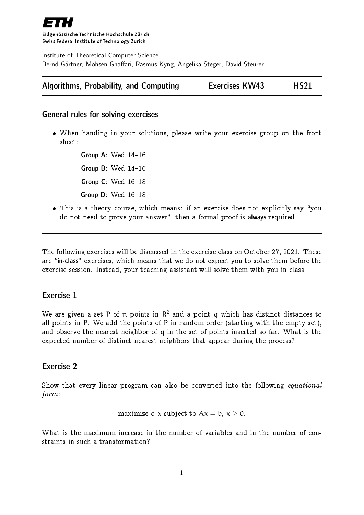

Eidgenössische Technische Hochschule Zürich Swiss Federal Institute of Technology Zurich

Institute of Theoretical Computer Science Bernd Gärtner, Mohsen Ghaffari, Rasmus Kyng, Angelika Steger, David Steurer

| Algorithms, Probability, and Computing | <b>Exercises KW43</b> | <b>HS21</b> |
|----------------------------------------|-----------------------|-------------|
|----------------------------------------|-----------------------|-------------|

## General rules for solving exercises

 When handing in your solutions, please write your exercise group on the front sheet:

> Group A: Wed  $14-16$ Group B: Wed  $14-16$ Group  $C:$  Wed  $16-18$ Group  $D$ : Wed  $16-18$

• This is a theory course, which means: if an exercise does not explicitly say "you do not need to prove your answer", then a formal proof is always required.

The following exercises will be discussed in the exercise class on October 27, 2021. These are "in-class" exercises, which means that we do not expect you to solve them before the exercise session. Instead, your teaching assistant will solve them with you in class.

## Exercise 1

We are given a set P of  $\bm{{\mathsf n}}$  points in  $\bm{\mathsf{R}}^2$  and a point  $\bm{{\mathsf q}}$  which has distinct distances to all points in P. We add the points of P in random order (starting with the empty set), and observe the nearest neighbor of q in the set of points inserted so far. What is the expected number of distinct nearest neighbors that appear during the process?

## Exercise 2

Show that every linear program can also be converted into the following equational form:

maximize 
$$
c^T x
$$
 subject to  $Ax = b$ ,  $x \ge 0$ .

What is the maximum increase in the number of variables and in the number of constraints in such a transformation?